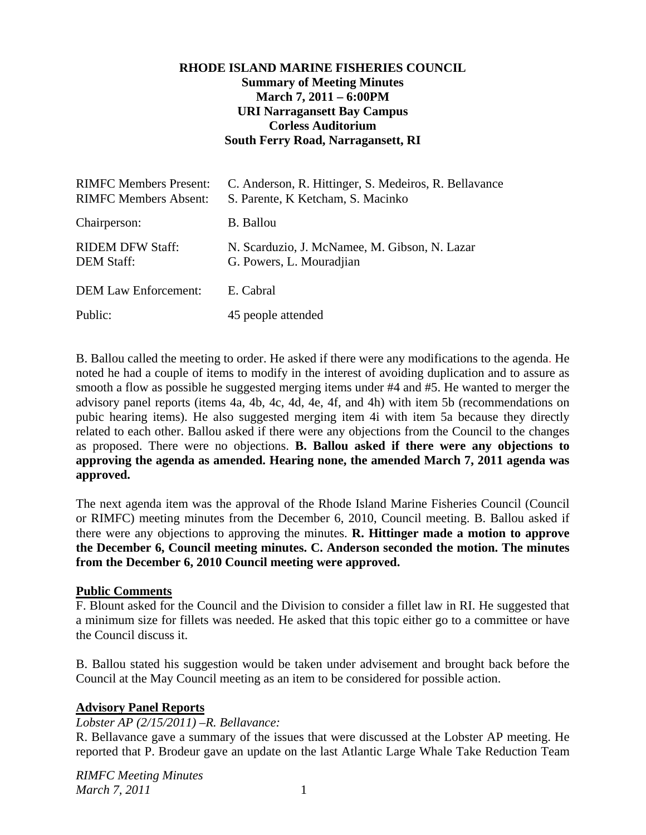## **RHODE ISLAND MARINE FISHERIES COUNCIL Summary of Meeting Minutes March 7, 2011 – 6:00PM URI Narragansett Bay Campus Corless Auditorium South Ferry Road, Narragansett, RI**

| <b>RIMFC Members Present:</b><br><b>RIMFC Members Absent:</b> | C. Anderson, R. Hittinger, S. Medeiros, R. Bellavance<br>S. Parente, K Ketcham, S. Macinko |
|---------------------------------------------------------------|--------------------------------------------------------------------------------------------|
| Chairperson:                                                  | <b>B.</b> Ballou                                                                           |
| <b>RIDEM DFW Staff:</b><br><b>DEM Staff:</b>                  | N. Scarduzio, J. McNamee, M. Gibson, N. Lazar<br>G. Powers, L. Mouradjian                  |
| <b>DEM Law Enforcement:</b>                                   | E. Cabral                                                                                  |
| Public:                                                       | 45 people attended                                                                         |

B. Ballou called the meeting to order. He asked if there were any modifications to the agenda. He noted he had a couple of items to modify in the interest of avoiding duplication and to assure as smooth a flow as possible he suggested merging items under #4 and #5. He wanted to merger the advisory panel reports (items 4a, 4b, 4c, 4d, 4e, 4f, and 4h) with item 5b (recommendations on pubic hearing items). He also suggested merging item 4i with item 5a because they directly related to each other. Ballou asked if there were any objections from the Council to the changes as proposed. There were no objections. **B. Ballou asked if there were any objections to approving the agenda as amended. Hearing none, the amended March 7, 2011 agenda was approved.**

The next agenda item was the approval of the Rhode Island Marine Fisheries Council (Council or RIMFC) meeting minutes from the December 6, 2010, Council meeting. B. Ballou asked if there were any objections to approving the minutes. **R. Hittinger made a motion to approve the December 6, Council meeting minutes. C. Anderson seconded the motion. The minutes from the December 6, 2010 Council meeting were approved.**

#### **Public Comments**

F. Blount asked for the Council and the Division to consider a fillet law in RI. He suggested that a minimum size for fillets was needed. He asked that this topic either go to a committee or have the Council discuss it.

B. Ballou stated his suggestion would be taken under advisement and brought back before the Council at the May Council meeting as an item to be considered for possible action.

## **Advisory Panel Reports**

## *Lobster AP (2/15/2011) –R. Bellavance:*

R. Bellavance gave a summary of the issues that were discussed at the Lobster AP meeting. He reported that P. Brodeur gave an update on the last Atlantic Large Whale Take Reduction Team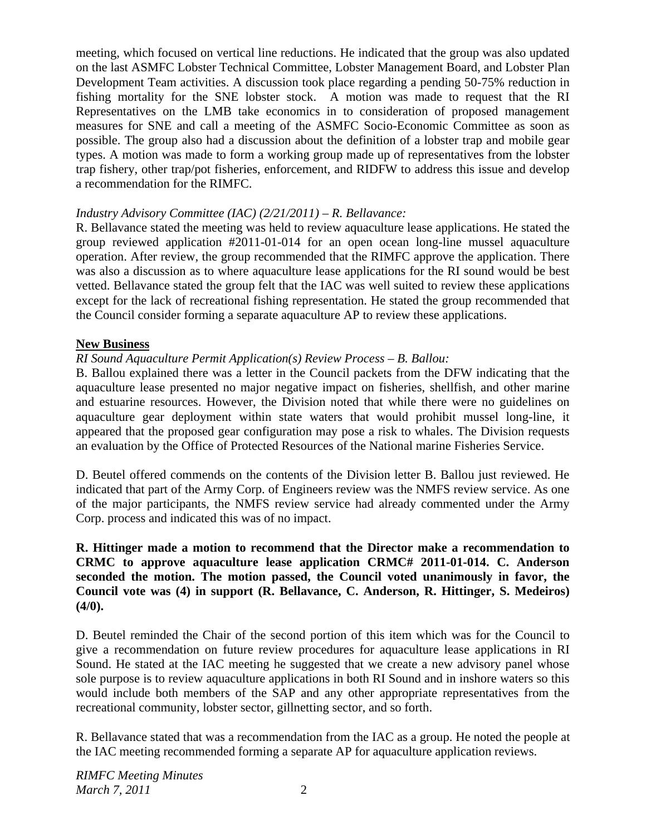meeting, which focused on vertical line reductions. He indicated that the group was also updated on the last ASMFC Lobster Technical Committee, Lobster Management Board, and Lobster Plan Development Team activities. A discussion took place regarding a pending 50-75% reduction in fishing mortality for the SNE lobster stock. A motion was made to request that the RI Representatives on the LMB take economics in to consideration of proposed management measures for SNE and call a meeting of the ASMFC Socio-Economic Committee as soon as possible. The group also had a discussion about the definition of a lobster trap and mobile gear types. A motion was made to form a working group made up of representatives from the lobster trap fishery, other trap/pot fisheries, enforcement, and RIDFW to address this issue and develop a recommendation for the RIMFC.

### *Industry Advisory Committee (IAC) (2/21/2011) – R. Bellavance:*

R. Bellavance stated the meeting was held to review aquaculture lease applications. He stated the group reviewed application #2011-01-014 for an open ocean long-line mussel aquaculture operation. After review, the group recommended that the RIMFC approve the application. There was also a discussion as to where aquaculture lease applications for the RI sound would be best vetted. Bellavance stated the group felt that the IAC was well suited to review these applications except for the lack of recreational fishing representation. He stated the group recommended that the Council consider forming a separate aquaculture AP to review these applications.

### **New Business**

## *RI Sound Aquaculture Permit Application(s) Review Process – B. Ballou:*

B. Ballou explained there was a letter in the Council packets from the DFW indicating that the aquaculture lease presented no major negative impact on fisheries, shellfish, and other marine and estuarine resources. However, the Division noted that while there were no guidelines on aquaculture gear deployment within state waters that would prohibit mussel long-line, it appeared that the proposed gear configuration may pose a risk to whales. The Division requests an evaluation by the Office of Protected Resources of the National marine Fisheries Service.

D. Beutel offered commends on the contents of the Division letter B. Ballou just reviewed. He indicated that part of the Army Corp. of Engineers review was the NMFS review service. As one of the major participants, the NMFS review service had already commented under the Army Corp. process and indicated this was of no impact.

## **R. Hittinger made a motion to recommend that the Director make a recommendation to CRMC to approve aquaculture lease application CRMC# 2011-01-014. C. Anderson seconded the motion. The motion passed, the Council voted unanimously in favor, the Council vote was (4) in support (R. Bellavance, C. Anderson, R. Hittinger, S. Medeiros) (4/0).**

D. Beutel reminded the Chair of the second portion of this item which was for the Council to give a recommendation on future review procedures for aquaculture lease applications in RI Sound. He stated at the IAC meeting he suggested that we create a new advisory panel whose sole purpose is to review aquaculture applications in both RI Sound and in inshore waters so this would include both members of the SAP and any other appropriate representatives from the recreational community, lobster sector, gillnetting sector, and so forth.

R. Bellavance stated that was a recommendation from the IAC as a group. He noted the people at the IAC meeting recommended forming a separate AP for aquaculture application reviews.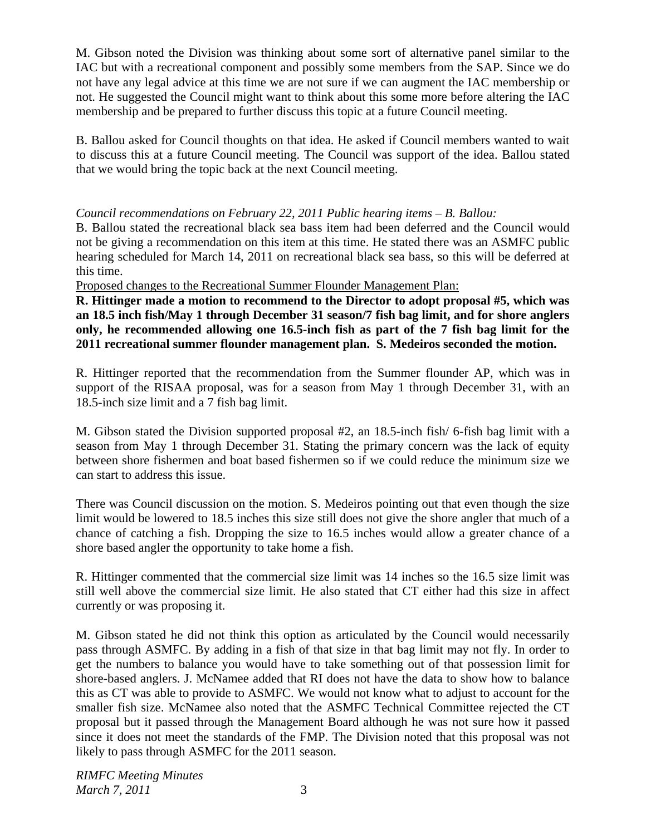M. Gibson noted the Division was thinking about some sort of alternative panel similar to the IAC but with a recreational component and possibly some members from the SAP. Since we do not have any legal advice at this time we are not sure if we can augment the IAC membership or not. He suggested the Council might want to think about this some more before altering the IAC membership and be prepared to further discuss this topic at a future Council meeting.

B. Ballou asked for Council thoughts on that idea. He asked if Council members wanted to wait to discuss this at a future Council meeting. The Council was support of the idea. Ballou stated that we would bring the topic back at the next Council meeting.

## *Council recommendations on February 22, 2011 Public hearing items – B. Ballou:*

B. Ballou stated the recreational black sea bass item had been deferred and the Council would not be giving a recommendation on this item at this time. He stated there was an ASMFC public hearing scheduled for March 14, 2011 on recreational black sea bass, so this will be deferred at this time.

Proposed changes to the Recreational Summer Flounder Management Plan:

**R. Hittinger made a motion to recommend to the Director to adopt proposal #5, which was an 18.5 inch fish/May 1 through December 31 season/7 fish bag limit, and for shore anglers only, he recommended allowing one 16.5-inch fish as part of the 7 fish bag limit for the 2011 recreational summer flounder management plan. S. Medeiros seconded the motion.** 

R. Hittinger reported that the recommendation from the Summer flounder AP, which was in support of the RISAA proposal, was for a season from May 1 through December 31, with an 18.5-inch size limit and a 7 fish bag limit.

M. Gibson stated the Division supported proposal #2, an 18.5-inch fish/ 6-fish bag limit with a season from May 1 through December 31. Stating the primary concern was the lack of equity between shore fishermen and boat based fishermen so if we could reduce the minimum size we can start to address this issue.

There was Council discussion on the motion. S. Medeiros pointing out that even though the size limit would be lowered to 18.5 inches this size still does not give the shore angler that much of a chance of catching a fish. Dropping the size to 16.5 inches would allow a greater chance of a shore based angler the opportunity to take home a fish.

R. Hittinger commented that the commercial size limit was 14 inches so the 16.5 size limit was still well above the commercial size limit. He also stated that CT either had this size in affect currently or was proposing it.

M. Gibson stated he did not think this option as articulated by the Council would necessarily pass through ASMFC. By adding in a fish of that size in that bag limit may not fly. In order to get the numbers to balance you would have to take something out of that possession limit for shore-based anglers. J. McNamee added that RI does not have the data to show how to balance this as CT was able to provide to ASMFC. We would not know what to adjust to account for the smaller fish size. McNamee also noted that the ASMFC Technical Committee rejected the CT proposal but it passed through the Management Board although he was not sure how it passed since it does not meet the standards of the FMP. The Division noted that this proposal was not likely to pass through ASMFC for the 2011 season.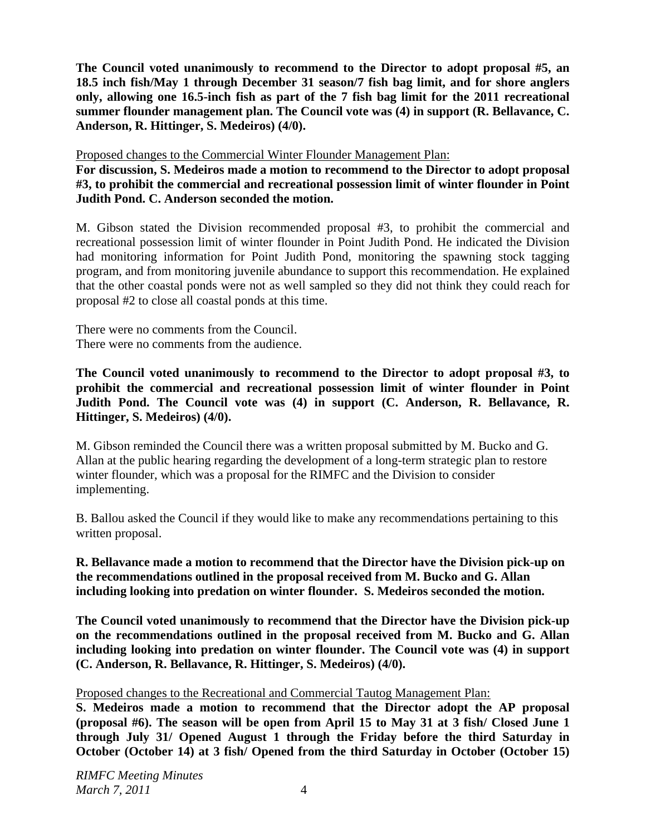**The Council voted unanimously to recommend to the Director to adopt proposal #5, an 18.5 inch fish/May 1 through December 31 season/7 fish bag limit, and for shore anglers only, allowing one 16.5-inch fish as part of the 7 fish bag limit for the 2011 recreational summer flounder management plan. The Council vote was (4) in support (R. Bellavance, C. Anderson, R. Hittinger, S. Medeiros) (4/0).** 

Proposed changes to the Commercial Winter Flounder Management Plan:

**For discussion, S. Medeiros made a motion to recommend to the Director to adopt proposal #3, to prohibit the commercial and recreational possession limit of winter flounder in Point Judith Pond. C. Anderson seconded the motion.** 

M. Gibson stated the Division recommended proposal #3, to prohibit the commercial and recreational possession limit of winter flounder in Point Judith Pond. He indicated the Division had monitoring information for Point Judith Pond, monitoring the spawning stock tagging program, and from monitoring juvenile abundance to support this recommendation. He explained that the other coastal ponds were not as well sampled so they did not think they could reach for proposal #2 to close all coastal ponds at this time.

There were no comments from the Council. There were no comments from the audience.

**The Council voted unanimously to recommend to the Director to adopt proposal #3, to prohibit the commercial and recreational possession limit of winter flounder in Point Judith Pond. The Council vote was (4) in support (C. Anderson, R. Bellavance, R. Hittinger, S. Medeiros) (4/0).** 

M. Gibson reminded the Council there was a written proposal submitted by M. Bucko and G. Allan at the public hearing regarding the development of a long-term strategic plan to restore winter flounder, which was a proposal for the RIMFC and the Division to consider implementing.

B. Ballou asked the Council if they would like to make any recommendations pertaining to this written proposal.

**R. Bellavance made a motion to recommend that the Director have the Division pick-up on the recommendations outlined in the proposal received from M. Bucko and G. Allan including looking into predation on winter flounder. S. Medeiros seconded the motion.** 

**The Council voted unanimously to recommend that the Director have the Division pick-up on the recommendations outlined in the proposal received from M. Bucko and G. Allan including looking into predation on winter flounder. The Council vote was (4) in support (C. Anderson, R. Bellavance, R. Hittinger, S. Medeiros) (4/0).** 

Proposed changes to the Recreational and Commercial Tautog Management Plan:

**S. Medeiros made a motion to recommend that the Director adopt the AP proposal (proposal #6). The season will be open from April 15 to May 31 at 3 fish/ Closed June 1 through July 31/ Opened August 1 through the Friday before the third Saturday in October (October 14) at 3 fish/ Opened from the third Saturday in October (October 15)**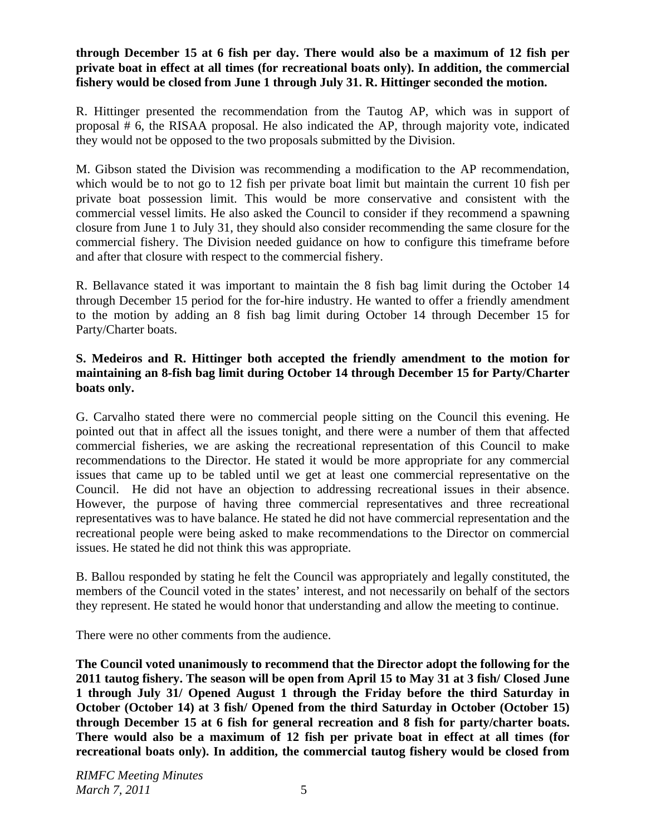### **through December 15 at 6 fish per day. There would also be a maximum of 12 fish per private boat in effect at all times (for recreational boats only). In addition, the commercial fishery would be closed from June 1 through July 31. R. Hittinger seconded the motion.**

R. Hittinger presented the recommendation from the Tautog AP, which was in support of proposal # 6, the RISAA proposal. He also indicated the AP, through majority vote, indicated they would not be opposed to the two proposals submitted by the Division.

M. Gibson stated the Division was recommending a modification to the AP recommendation, which would be to not go to 12 fish per private boat limit but maintain the current 10 fish per private boat possession limit. This would be more conservative and consistent with the commercial vessel limits. He also asked the Council to consider if they recommend a spawning closure from June 1 to July 31, they should also consider recommending the same closure for the commercial fishery. The Division needed guidance on how to configure this timeframe before and after that closure with respect to the commercial fishery.

R. Bellavance stated it was important to maintain the 8 fish bag limit during the October 14 through December 15 period for the for-hire industry. He wanted to offer a friendly amendment to the motion by adding an 8 fish bag limit during October 14 through December 15 for Party/Charter boats.

## **S. Medeiros and R. Hittinger both accepted the friendly amendment to the motion for maintaining an 8-fish bag limit during October 14 through December 15 for Party/Charter boats only.**

G. Carvalho stated there were no commercial people sitting on the Council this evening. He pointed out that in affect all the issues tonight, and there were a number of them that affected commercial fisheries, we are asking the recreational representation of this Council to make recommendations to the Director. He stated it would be more appropriate for any commercial issues that came up to be tabled until we get at least one commercial representative on the Council. He did not have an objection to addressing recreational issues in their absence. However, the purpose of having three commercial representatives and three recreational representatives was to have balance. He stated he did not have commercial representation and the recreational people were being asked to make recommendations to the Director on commercial issues. He stated he did not think this was appropriate.

B. Ballou responded by stating he felt the Council was appropriately and legally constituted, the members of the Council voted in the states' interest, and not necessarily on behalf of the sectors they represent. He stated he would honor that understanding and allow the meeting to continue.

There were no other comments from the audience.

**The Council voted unanimously to recommend that the Director adopt the following for the 2011 tautog fishery. The season will be open from April 15 to May 31 at 3 fish/ Closed June 1 through July 31/ Opened August 1 through the Friday before the third Saturday in October (October 14) at 3 fish/ Opened from the third Saturday in October (October 15) through December 15 at 6 fish for general recreation and 8 fish for party/charter boats. There would also be a maximum of 12 fish per private boat in effect at all times (for recreational boats only). In addition, the commercial tautog fishery would be closed from**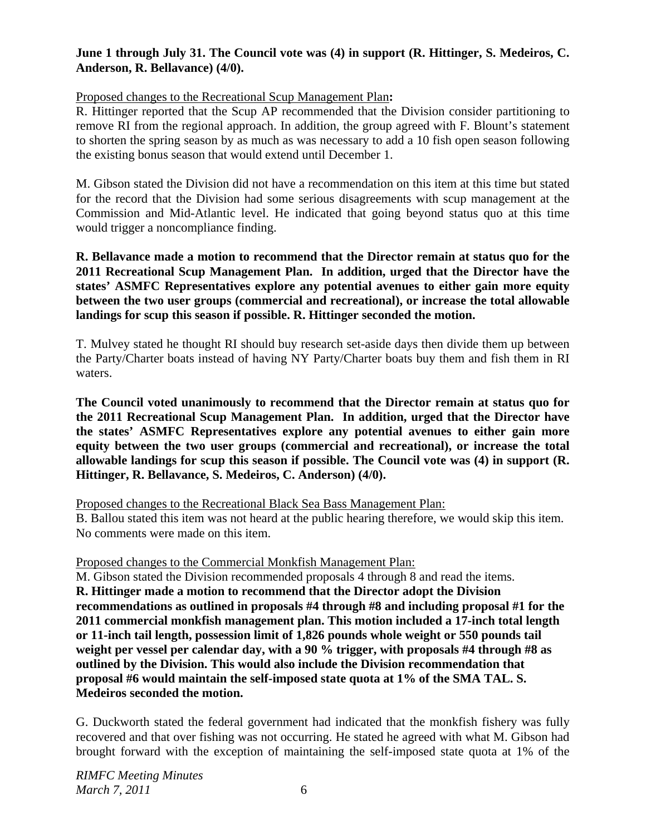## **June 1 through July 31. The Council vote was (4) in support (R. Hittinger, S. Medeiros, C. Anderson, R. Bellavance) (4/0).**

### Proposed changes to the Recreational Scup Management Plan**:**

R. Hittinger reported that the Scup AP recommended that the Division consider partitioning to remove RI from the regional approach. In addition, the group agreed with F. Blount's statement to shorten the spring season by as much as was necessary to add a 10 fish open season following the existing bonus season that would extend until December 1.

M. Gibson stated the Division did not have a recommendation on this item at this time but stated for the record that the Division had some serious disagreements with scup management at the Commission and Mid-Atlantic level. He indicated that going beyond status quo at this time would trigger a noncompliance finding.

**R. Bellavance made a motion to recommend that the Director remain at status quo for the 2011 Recreational Scup Management Plan. In addition, urged that the Director have the states' ASMFC Representatives explore any potential avenues to either gain more equity between the two user groups (commercial and recreational), or increase the total allowable landings for scup this season if possible. R. Hittinger seconded the motion.** 

T. Mulvey stated he thought RI should buy research set-aside days then divide them up between the Party/Charter boats instead of having NY Party/Charter boats buy them and fish them in RI waters.

**The Council voted unanimously to recommend that the Director remain at status quo for the 2011 Recreational Scup Management Plan. In addition, urged that the Director have the states' ASMFC Representatives explore any potential avenues to either gain more equity between the two user groups (commercial and recreational), or increase the total allowable landings for scup this season if possible. The Council vote was (4) in support (R. Hittinger, R. Bellavance, S. Medeiros, C. Anderson) (4/0).** 

Proposed changes to the Recreational Black Sea Bass Management Plan:

B. Ballou stated this item was not heard at the public hearing therefore, we would skip this item. No comments were made on this item.

#### Proposed changes to the Commercial Monkfish Management Plan:

M. Gibson stated the Division recommended proposals 4 through 8 and read the items. **R. Hittinger made a motion to recommend that the Director adopt the Division recommendations as outlined in proposals #4 through #8 and including proposal #1 for the 2011 commercial monkfish management plan. This motion included a 17-inch total length or 11-inch tail length, possession limit of 1,826 pounds whole weight or 550 pounds tail weight per vessel per calendar day, with a 90 % trigger, with proposals #4 through #8 as outlined by the Division. This would also include the Division recommendation that proposal #6 would maintain the self-imposed state quota at 1% of the SMA TAL. S. Medeiros seconded the motion.** 

G. Duckworth stated the federal government had indicated that the monkfish fishery was fully recovered and that over fishing was not occurring. He stated he agreed with what M. Gibson had brought forward with the exception of maintaining the self-imposed state quota at 1% of the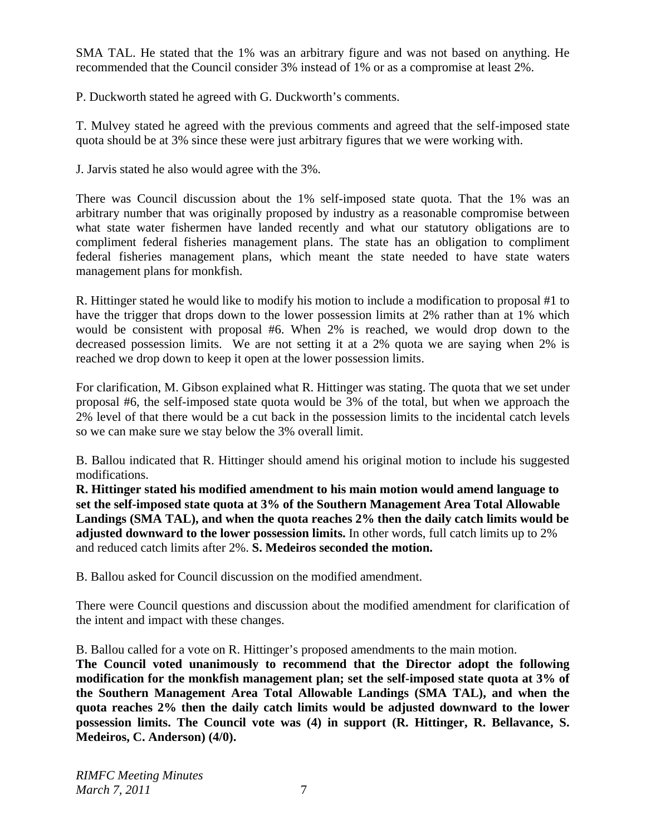SMA TAL. He stated that the 1% was an arbitrary figure and was not based on anything. He recommended that the Council consider 3% instead of 1% or as a compromise at least 2%.

P. Duckworth stated he agreed with G. Duckworth's comments.

T. Mulvey stated he agreed with the previous comments and agreed that the self-imposed state quota should be at 3% since these were just arbitrary figures that we were working with.

J. Jarvis stated he also would agree with the 3%.

There was Council discussion about the 1% self-imposed state quota. That the 1% was an arbitrary number that was originally proposed by industry as a reasonable compromise between what state water fishermen have landed recently and what our statutory obligations are to compliment federal fisheries management plans. The state has an obligation to compliment federal fisheries management plans, which meant the state needed to have state waters management plans for monkfish.

R. Hittinger stated he would like to modify his motion to include a modification to proposal #1 to have the trigger that drops down to the lower possession limits at 2% rather than at 1% which would be consistent with proposal #6. When 2% is reached, we would drop down to the decreased possession limits. We are not setting it at a 2% quota we are saying when 2% is reached we drop down to keep it open at the lower possession limits.

For clarification, M. Gibson explained what R. Hittinger was stating. The quota that we set under proposal #6, the self-imposed state quota would be 3% of the total, but when we approach the 2% level of that there would be a cut back in the possession limits to the incidental catch levels so we can make sure we stay below the 3% overall limit.

B. Ballou indicated that R. Hittinger should amend his original motion to include his suggested modifications.

**R. Hittinger stated his modified amendment to his main motion would amend language to set the self-imposed state quota at 3% of the Southern Management Area Total Allowable Landings (SMA TAL), and when the quota reaches 2% then the daily catch limits would be adjusted downward to the lower possession limits.** In other words, full catch limits up to 2% and reduced catch limits after 2%. **S. Medeiros seconded the motion.**

B. Ballou asked for Council discussion on the modified amendment.

There were Council questions and discussion about the modified amendment for clarification of the intent and impact with these changes.

B. Ballou called for a vote on R. Hittinger's proposed amendments to the main motion.

**The Council voted unanimously to recommend that the Director adopt the following modification for the monkfish management plan; set the self-imposed state quota at 3% of the Southern Management Area Total Allowable Landings (SMA TAL), and when the quota reaches 2% then the daily catch limits would be adjusted downward to the lower possession limits. The Council vote was (4) in support (R. Hittinger, R. Bellavance, S. Medeiros, C. Anderson) (4/0).**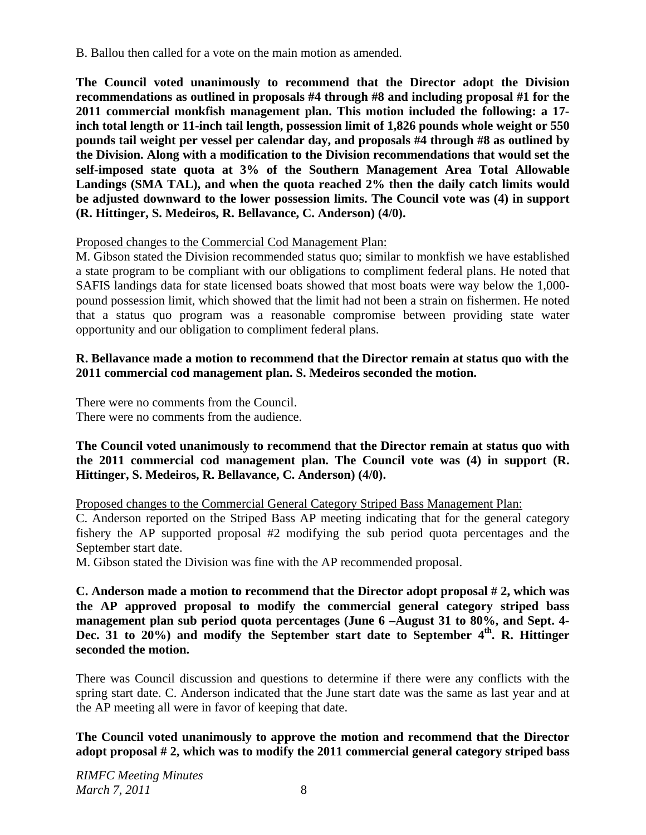B. Ballou then called for a vote on the main motion as amended.

**The Council voted unanimously to recommend that the Director adopt the Division recommendations as outlined in proposals #4 through #8 and including proposal #1 for the 2011 commercial monkfish management plan. This motion included the following: a 17 inch total length or 11-inch tail length, possession limit of 1,826 pounds whole weight or 550 pounds tail weight per vessel per calendar day, and proposals #4 through #8 as outlined by the Division. Along with a modification to the Division recommendations that would set the self-imposed state quota at 3% of the Southern Management Area Total Allowable Landings (SMA TAL), and when the quota reached 2% then the daily catch limits would be adjusted downward to the lower possession limits. The Council vote was (4) in support (R. Hittinger, S. Medeiros, R. Bellavance, C. Anderson) (4/0).** 

## Proposed changes to the Commercial Cod Management Plan:

M. Gibson stated the Division recommended status quo; similar to monkfish we have established a state program to be compliant with our obligations to compliment federal plans. He noted that SAFIS landings data for state licensed boats showed that most boats were way below the 1,000 pound possession limit, which showed that the limit had not been a strain on fishermen. He noted that a status quo program was a reasonable compromise between providing state water opportunity and our obligation to compliment federal plans.

### **R. Bellavance made a motion to recommend that the Director remain at status quo with the 2011 commercial cod management plan. S. Medeiros seconded the motion.**

There were no comments from the Council. There were no comments from the audience.

#### **The Council voted unanimously to recommend that the Director remain at status quo with the 2011 commercial cod management plan. The Council vote was (4) in support (R. Hittinger, S. Medeiros, R. Bellavance, C. Anderson) (4/0).**

Proposed changes to the Commercial General Category Striped Bass Management Plan: C. Anderson reported on the Striped Bass AP meeting indicating that for the general category fishery the AP supported proposal #2 modifying the sub period quota percentages and the September start date.

M. Gibson stated the Division was fine with the AP recommended proposal.

**C. Anderson made a motion to recommend that the Director adopt proposal # 2, which was the AP approved proposal to modify the commercial general category striped bass management plan sub period quota percentages (June 6 –August 31 to 80%, and Sept. 4-**  Dec. 31 to 20%) and modify the September start date to September 4<sup>th</sup>. R. Hittinger **seconded the motion.** 

There was Council discussion and questions to determine if there were any conflicts with the spring start date. C. Anderson indicated that the June start date was the same as last year and at the AP meeting all were in favor of keeping that date.

**The Council voted unanimously to approve the motion and recommend that the Director adopt proposal # 2, which was to modify the 2011 commercial general category striped bass**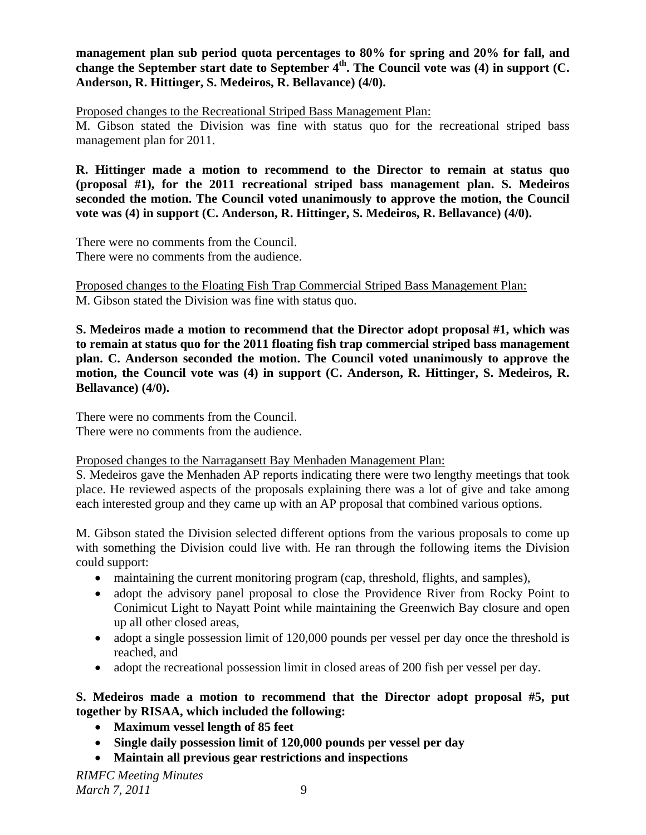**management plan sub period quota percentages to 80% for spring and 20% for fall, and**  change the September start date to September 4<sup>th</sup>. The Council vote was (4) in support (C. **Anderson, R. Hittinger, S. Medeiros, R. Bellavance) (4/0).** 

Proposed changes to the Recreational Striped Bass Management Plan:

M. Gibson stated the Division was fine with status quo for the recreational striped bass management plan for 2011.

**R. Hittinger made a motion to recommend to the Director to remain at status quo (proposal #1), for the 2011 recreational striped bass management plan. S. Medeiros seconded the motion. The Council voted unanimously to approve the motion, the Council vote was (4) in support (C. Anderson, R. Hittinger, S. Medeiros, R. Bellavance) (4/0).** 

There were no comments from the Council. There were no comments from the audience.

Proposed changes to the Floating Fish Trap Commercial Striped Bass Management Plan: M. Gibson stated the Division was fine with status quo.

**S. Medeiros made a motion to recommend that the Director adopt proposal #1, which was to remain at status quo for the 2011 floating fish trap commercial striped bass management plan. C. Anderson seconded the motion. The Council voted unanimously to approve the motion, the Council vote was (4) in support (C. Anderson, R. Hittinger, S. Medeiros, R. Bellavance) (4/0).** 

There were no comments from the Council. There were no comments from the audience.

#### Proposed changes to the Narragansett Bay Menhaden Management Plan:

S. Medeiros gave the Menhaden AP reports indicating there were two lengthy meetings that took place. He reviewed aspects of the proposals explaining there was a lot of give and take among each interested group and they came up with an AP proposal that combined various options.

M. Gibson stated the Division selected different options from the various proposals to come up with something the Division could live with. He ran through the following items the Division could support:

- maintaining the current monitoring program (cap, threshold, flights, and samples),
- adopt the advisory panel proposal to close the Providence River from Rocky Point to Conimicut Light to Nayatt Point while maintaining the Greenwich Bay closure and open up all other closed areas,
- adopt a single possession limit of 120,000 pounds per vessel per day once the threshold is reached, and
- adopt the recreational possession limit in closed areas of 200 fish per vessel per day.

## **S. Medeiros made a motion to recommend that the Director adopt proposal #5, put together by RISAA, which included the following:**

- **Maximum vessel length of 85 feet**
- **Single daily possession limit of 120,000 pounds per vessel per day**
- **Maintain all previous gear restrictions and inspections**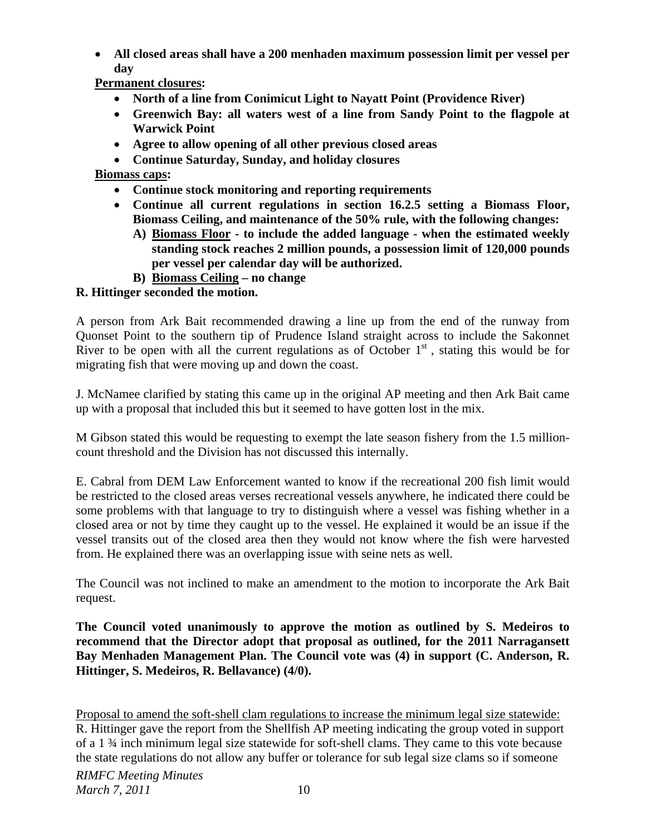• **All closed areas shall have a 200 menhaden maximum possession limit per vessel per day** 

**Permanent closures:** 

- **North of a line from Conimicut Light to Nayatt Point (Providence River)**
- **Greenwich Bay: all waters west of a line from Sandy Point to the flagpole at Warwick Point**
- **Agree to allow opening of all other previous closed areas**
- **Continue Saturday, Sunday, and holiday closures**

# **Biomass caps:**

- **Continue stock monitoring and reporting requirements**
- **Continue all current regulations in section 16.2.5 setting a Biomass Floor, Biomass Ceiling, and maintenance of the 50% rule, with the following changes:** 
	- **A) Biomass Floor to include the added language when the estimated weekly standing stock reaches 2 million pounds, a possession limit of 120,000 pounds per vessel per calendar day will be authorized.**
	- **B) Biomass Ceiling no change**

# **R. Hittinger seconded the motion.**

A person from Ark Bait recommended drawing a line up from the end of the runway from Quonset Point to the southern tip of Prudence Island straight across to include the Sakonnet River to be open with all the current regulations as of October  $1<sup>st</sup>$ , stating this would be for migrating fish that were moving up and down the coast.

J. McNamee clarified by stating this came up in the original AP meeting and then Ark Bait came up with a proposal that included this but it seemed to have gotten lost in the mix.

M Gibson stated this would be requesting to exempt the late season fishery from the 1.5 millioncount threshold and the Division has not discussed this internally.

E. Cabral from DEM Law Enforcement wanted to know if the recreational 200 fish limit would be restricted to the closed areas verses recreational vessels anywhere, he indicated there could be some problems with that language to try to distinguish where a vessel was fishing whether in a closed area or not by time they caught up to the vessel. He explained it would be an issue if the vessel transits out of the closed area then they would not know where the fish were harvested from. He explained there was an overlapping issue with seine nets as well.

The Council was not inclined to make an amendment to the motion to incorporate the Ark Bait request.

**The Council voted unanimously to approve the motion as outlined by S. Medeiros to recommend that the Director adopt that proposal as outlined, for the 2011 Narragansett Bay Menhaden Management Plan. The Council vote was (4) in support (C. Anderson, R. Hittinger, S. Medeiros, R. Bellavance) (4/0).** 

Proposal to amend the soft-shell clam regulations to increase the minimum legal size statewide: R. Hittinger gave the report from the Shellfish AP meeting indicating the group voted in support of a 1 ¾ inch minimum legal size statewide for soft-shell clams. They came to this vote because the state regulations do not allow any buffer or tolerance for sub legal size clams so if someone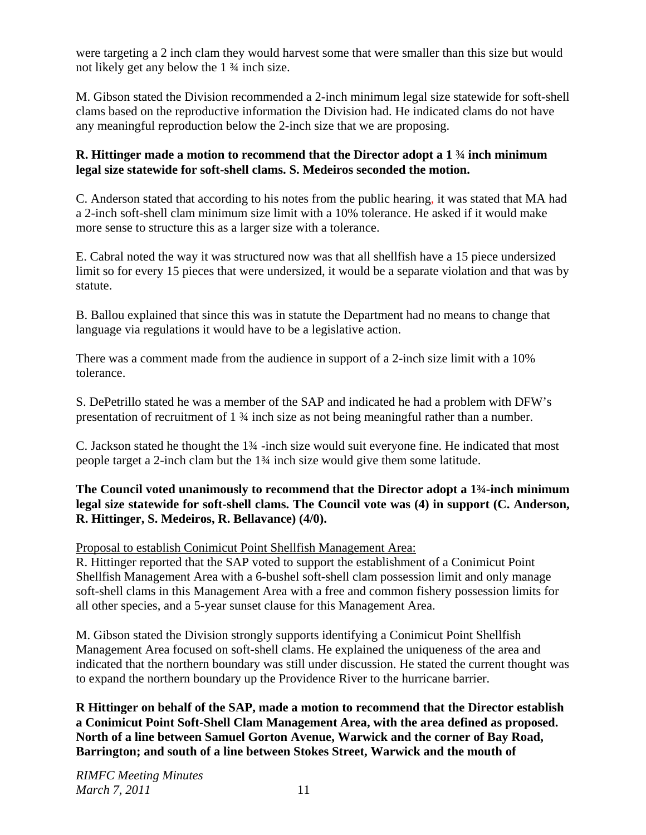were targeting a 2 inch clam they would harvest some that were smaller than this size but would not likely get any below the 1 ¾ inch size.

M. Gibson stated the Division recommended a 2-inch minimum legal size statewide for soft-shell clams based on the reproductive information the Division had. He indicated clams do not have any meaningful reproduction below the 2-inch size that we are proposing.

## **R. Hittinger made a motion to recommend that the Director adopt a 1 ¾ inch minimum legal size statewide for soft-shell clams. S. Medeiros seconded the motion.**

C. Anderson stated that according to his notes from the public hearing, it was stated that MA had a 2-inch soft-shell clam minimum size limit with a 10% tolerance. He asked if it would make more sense to structure this as a larger size with a tolerance.

E. Cabral noted the way it was structured now was that all shellfish have a 15 piece undersized limit so for every 15 pieces that were undersized, it would be a separate violation and that was by statute.

B. Ballou explained that since this was in statute the Department had no means to change that language via regulations it would have to be a legislative action.

There was a comment made from the audience in support of a 2-inch size limit with a 10% tolerance.

S. DePetrillo stated he was a member of the SAP and indicated he had a problem with DFW's presentation of recruitment of 1 ¾ inch size as not being meaningful rather than a number.

C. Jackson stated he thought the 1¾ -inch size would suit everyone fine. He indicated that most people target a 2-inch clam but the 1¾ inch size would give them some latitude.

## **The Council voted unanimously to recommend that the Director adopt a 1¾-inch minimum legal size statewide for soft-shell clams. The Council vote was (4) in support (C. Anderson, R. Hittinger, S. Medeiros, R. Bellavance) (4/0).**

## Proposal to establish Conimicut Point Shellfish Management Area:

R. Hittinger reported that the SAP voted to support the establishment of a Conimicut Point Shellfish Management Area with a 6-bushel soft-shell clam possession limit and only manage soft-shell clams in this Management Area with a free and common fishery possession limits for all other species, and a 5-year sunset clause for this Management Area.

M. Gibson stated the Division strongly supports identifying a Conimicut Point Shellfish Management Area focused on soft-shell clams. He explained the uniqueness of the area and indicated that the northern boundary was still under discussion. He stated the current thought was to expand the northern boundary up the Providence River to the hurricane barrier.

**R Hittinger on behalf of the SAP, made a motion to recommend that the Director establish a Conimicut Point Soft-Shell Clam Management Area, with the area defined as proposed. North of a line between Samuel Gorton Avenue, Warwick and the corner of Bay Road, Barrington; and south of a line between Stokes Street, Warwick and the mouth of**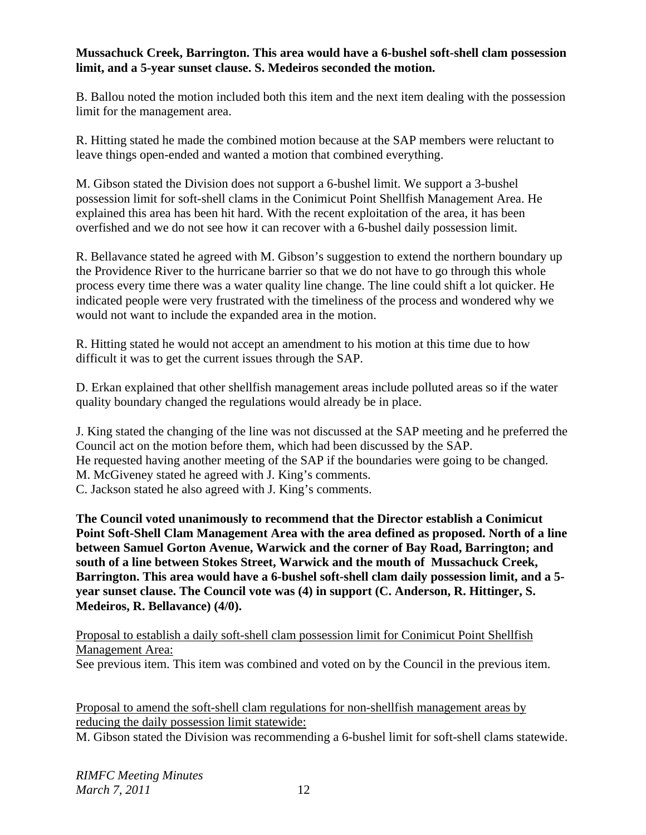## **Mussachuck Creek, Barrington. This area would have a 6-bushel soft-shell clam possession limit, and a 5-year sunset clause. S. Medeiros seconded the motion.**

B. Ballou noted the motion included both this item and the next item dealing with the possession limit for the management area.

R. Hitting stated he made the combined motion because at the SAP members were reluctant to leave things open-ended and wanted a motion that combined everything.

M. Gibson stated the Division does not support a 6-bushel limit. We support a 3-bushel possession limit for soft-shell clams in the Conimicut Point Shellfish Management Area. He explained this area has been hit hard. With the recent exploitation of the area, it has been overfished and we do not see how it can recover with a 6-bushel daily possession limit.

R. Bellavance stated he agreed with M. Gibson's suggestion to extend the northern boundary up the Providence River to the hurricane barrier so that we do not have to go through this whole process every time there was a water quality line change. The line could shift a lot quicker. He indicated people were very frustrated with the timeliness of the process and wondered why we would not want to include the expanded area in the motion.

R. Hitting stated he would not accept an amendment to his motion at this time due to how difficult it was to get the current issues through the SAP.

D. Erkan explained that other shellfish management areas include polluted areas so if the water quality boundary changed the regulations would already be in place.

J. King stated the changing of the line was not discussed at the SAP meeting and he preferred the Council act on the motion before them, which had been discussed by the SAP. He requested having another meeting of the SAP if the boundaries were going to be changed. M. McGiveney stated he agreed with J. King's comments. C. Jackson stated he also agreed with J. King's comments.

**The Council voted unanimously to recommend that the Director establish a Conimicut Point Soft-Shell Clam Management Area with the area defined as proposed. North of a line between Samuel Gorton Avenue, Warwick and the corner of Bay Road, Barrington; and south of a line between Stokes Street, Warwick and the mouth of Mussachuck Creek, Barrington. This area would have a 6-bushel soft-shell clam daily possession limit, and a 5 year sunset clause. The Council vote was (4) in support (C. Anderson, R. Hittinger, S. Medeiros, R. Bellavance) (4/0).** 

Proposal to establish a daily soft-shell clam possession limit for Conimicut Point Shellfish Management Area:

See previous item. This item was combined and voted on by the Council in the previous item.

Proposal to amend the soft-shell clam regulations for non-shellfish management areas by reducing the daily possession limit statewide:

M. Gibson stated the Division was recommending a 6-bushel limit for soft-shell clams statewide.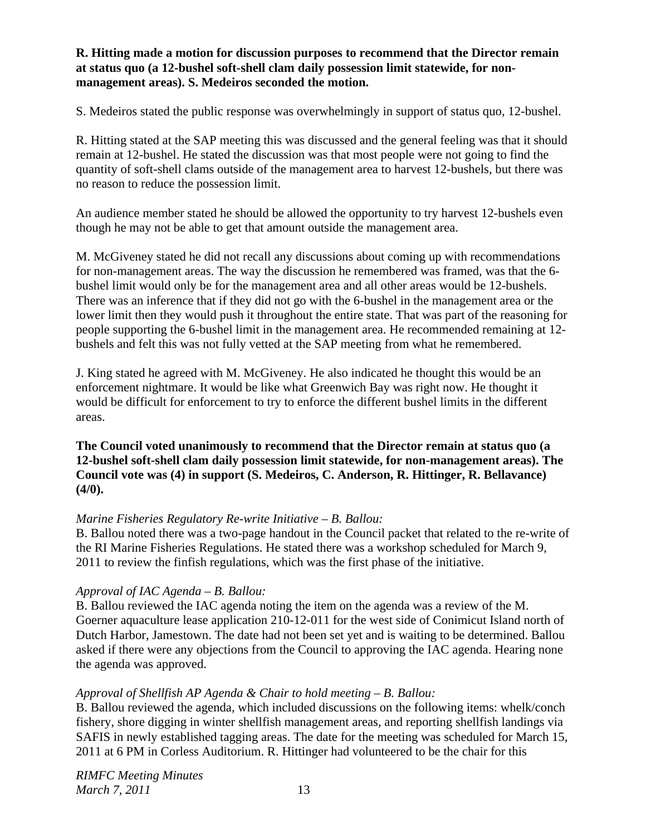## **R. Hitting made a motion for discussion purposes to recommend that the Director remain at status quo (a 12-bushel soft-shell clam daily possession limit statewide, for nonmanagement areas). S. Medeiros seconded the motion.**

S. Medeiros stated the public response was overwhelmingly in support of status quo, 12-bushel.

R. Hitting stated at the SAP meeting this was discussed and the general feeling was that it should remain at 12-bushel. He stated the discussion was that most people were not going to find the quantity of soft-shell clams outside of the management area to harvest 12-bushels, but there was no reason to reduce the possession limit.

An audience member stated he should be allowed the opportunity to try harvest 12-bushels even though he may not be able to get that amount outside the management area.

M. McGiveney stated he did not recall any discussions about coming up with recommendations for non-management areas. The way the discussion he remembered was framed, was that the 6 bushel limit would only be for the management area and all other areas would be 12-bushels. There was an inference that if they did not go with the 6-bushel in the management area or the lower limit then they would push it throughout the entire state. That was part of the reasoning for people supporting the 6-bushel limit in the management area. He recommended remaining at 12 bushels and felt this was not fully vetted at the SAP meeting from what he remembered.

J. King stated he agreed with M. McGiveney. He also indicated he thought this would be an enforcement nightmare. It would be like what Greenwich Bay was right now. He thought it would be difficult for enforcement to try to enforce the different bushel limits in the different areas.

**The Council voted unanimously to recommend that the Director remain at status quo (a 12-bushel soft-shell clam daily possession limit statewide, for non-management areas). The Council vote was (4) in support (S. Medeiros, C. Anderson, R. Hittinger, R. Bellavance) (4/0).** 

#### *Marine Fisheries Regulatory Re-write Initiative – B. Ballou:*

B. Ballou noted there was a two-page handout in the Council packet that related to the re-write of the RI Marine Fisheries Regulations. He stated there was a workshop scheduled for March 9, 2011 to review the finfish regulations, which was the first phase of the initiative.

#### *Approval of IAC Agenda – B. Ballou:*

B. Ballou reviewed the IAC agenda noting the item on the agenda was a review of the M. Goerner aquaculture lease application 210-12-011 for the west side of Conimicut Island north of Dutch Harbor, Jamestown. The date had not been set yet and is waiting to be determined. Ballou asked if there were any objections from the Council to approving the IAC agenda. Hearing none the agenda was approved.

## *Approval of Shellfish AP Agenda & Chair to hold meeting – B. Ballou:*

B. Ballou reviewed the agenda, which included discussions on the following items: whelk/conch fishery, shore digging in winter shellfish management areas, and reporting shellfish landings via SAFIS in newly established tagging areas. The date for the meeting was scheduled for March 15, 2011 at 6 PM in Corless Auditorium. R. Hittinger had volunteered to be the chair for this